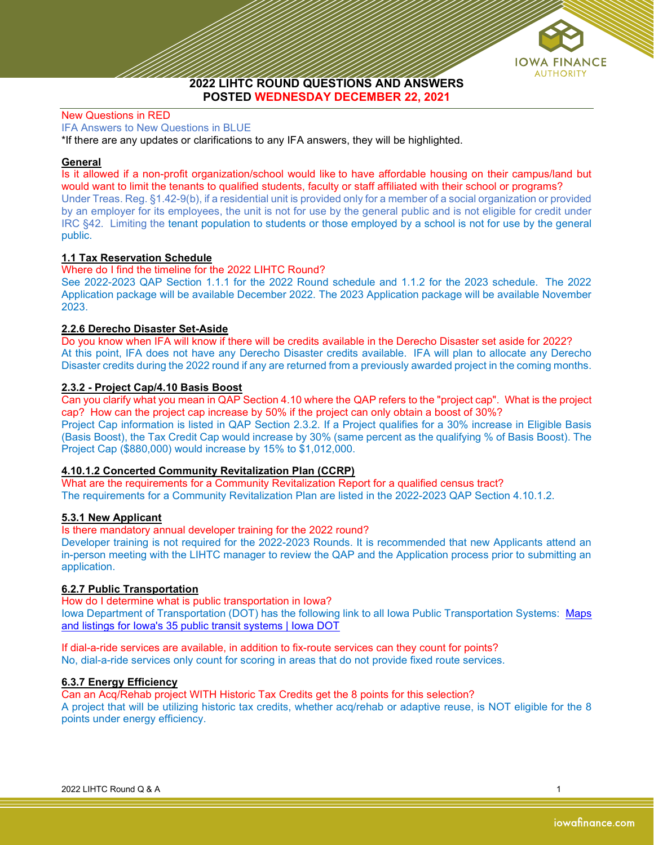

2022 LIHTC ROUND QUESTIONS AND ANSWERS POSTED WEDNESDAY DECEMBER 22, 2021

### New Questions in RED

IFA Answers to New Questions in BLUE

\*If there are any updates or clarifications to any IFA answers, they will be highlighted.

### General

Is it allowed if a non-profit organization/school would like to have affordable housing on their campus/land but would want to limit the tenants to qualified students, faculty or staff affiliated with their school or programs? Under Treas. Reg. §1.42-9(b), if a residential unit is provided only for a member of a social organization or provided by an employer for its employees, the unit is not for use by the general public and is not eligible for credit under IRC §42. Limiting the tenant population to students or those employed by a school is not for use by the general public.

# 1.1 Tax Reservation Schedule

#### Where do I find the timeline for the 2022 LIHTC Round?

See 2022-2023 QAP Section 1.1.1 for the 2022 Round schedule and 1.1.2 for the 2023 schedule. The 2022 Application package will be available December 2022. The 2023 Application package will be available November 2023.

### 2.2.6 Derecho Disaster Set-Aside

Do you know when IFA will know if there will be credits available in the Derecho Disaster set aside for 2022? At this point, IFA does not have any Derecho Disaster credits available. IFA will plan to allocate any Derecho Disaster credits during the 2022 round if any are returned from a previously awarded project in the coming months.

### 2.3.2 - Project Cap/4.10 Basis Boost

Can you clarify what you mean in QAP Section 4.10 where the QAP refers to the "project cap". What is the project cap? How can the project cap increase by 50% if the project can only obtain a boost of 30%? Project Cap information is listed in QAP Section 2.3.2. If a Project qualifies for a 30% increase in Eligible Basis (Basis Boost), the Tax Credit Cap would increase by 30% (same percent as the qualifying % of Basis Boost). The Project Cap (\$880,000) would increase by 15% to \$1,012,000.

### 4.10.1.2 Concerted Community Revitalization Plan (CCRP)

What are the requirements for a Community Revitalization Report for a qualified census tract? The requirements for a Community Revitalization Plan are listed in the 2022-2023 QAP Section 4.10.1.2.

### 5.3.1 New Applicant

#### Is there mandatory annual developer training for the 2022 round?

Developer training is not required for the 2022-2023 Rounds. It is recommended that new Applicants attend an in-person meeting with the LIHTC manager to review the QAP and the Application process prior to submitting an application.

# 6.2.7 Public Transportation

How do I determine what is public transportation in Iowa?

Iowa Department of Transportation (DOT) has the following link to all Iowa Public Transportation Systems: Maps and listings for Iowa's 35 public transit systems | Iowa DOT

If dial-a-ride services are available, in addition to fix-route services can they count for points? No, dial-a-ride services only count for scoring in areas that do not provide fixed route services.

# 6.3.7 Energy Efficiency

Can an Acq/Rehab project WITH Historic Tax Credits get the 8 points for this selection? A project that will be utilizing historic tax credits, whether acq/rehab or adaptive reuse, is NOT eligible for the 8 points under energy efficiency.